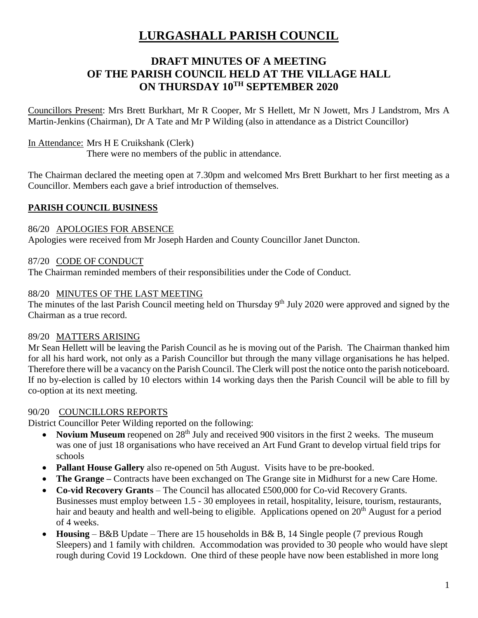# **LURGASHALL PARISH COUNCIL**

# **DRAFT MINUTES OF A MEETING OF THE PARISH COUNCIL HELD AT THE VILLAGE HALL ON THURSDAY 10TH SEPTEMBER 2020**

Councillors Present: Mrs Brett Burkhart, Mr R Cooper, Mr S Hellett, Mr N Jowett, Mrs J Landstrom, Mrs A Martin-Jenkins (Chairman), Dr A Tate and Mr P Wilding (also in attendance as a District Councillor)

### In Attendance: Mrs H E Cruikshank (Clerk)

There were no members of the public in attendance.

The Chairman declared the meeting open at 7.30pm and welcomed Mrs Brett Burkhart to her first meeting as a Councillor. Members each gave a brief introduction of themselves.

### **PARISH COUNCIL BUSINESS**

### 86/20 APOLOGIES FOR ABSENCE

Apologies were received from Mr Joseph Harden and County Councillor Janet Duncton.

### 87/20 CODE OF CONDUCT

The Chairman reminded members of their responsibilities under the Code of Conduct.

### 88/20 MINUTES OF THE LAST MEETING

The minutes of the last Parish Council meeting held on Thursday 9<sup>th</sup> July 2020 were approved and signed by the Chairman as a true record.

### 89/20 MATTERS ARISING

Mr Sean Hellett will be leaving the Parish Council as he is moving out of the Parish. The Chairman thanked him for all his hard work, not only as a Parish Councillor but through the many village organisations he has helped. Therefore there will be a vacancy on the Parish Council. The Clerk will post the notice onto the parish noticeboard. If no by-election is called by 10 electors within 14 working days then the Parish Council will be able to fill by co-option at its next meeting.

### 90/20 COUNCILLORS REPORTS

District Councillor Peter Wilding reported on the following:

- Novium Museum reopened on 28<sup>th</sup> July and received 900 visitors in the first 2 weeks. The museum was one of just 18 organisations who have received an Art Fund Grant to develop virtual field trips for schools
- **Pallant House Gallery** also re-opened on 5th August. Visits have to be pre-booked.
- **The Grange –** Contracts have been exchanged on The Grange site in Midhurst for a new Care Home.
- **Co-vid Recovery Grants** The Council has allocated £500,000 for Co-vid Recovery Grants. Businesses must employ between 1.5 - 30 employees in retail, hospitality, leisure, tourism, restaurants, hair and beauty and health and well-being to eligible. Applications opened on 20<sup>th</sup> August for a period of 4 weeks.
- **Housing** B&B Update There are 15 households in B& B, 14 Single people (7 previous Rough Sleepers) and 1 family with children. Accommodation was provided to 30 people who would have slept rough during Covid 19 Lockdown. One third of these people have now been established in more long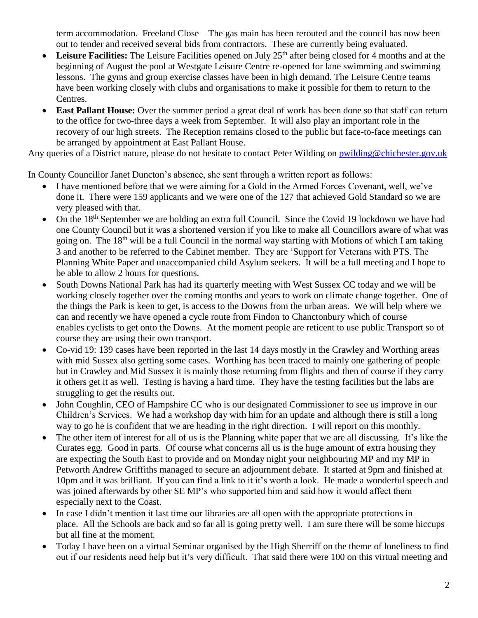term accommodation. Freeland Close – The gas main has been rerouted and the council has now been out to tender and received several bids from contractors. These are currently being evaluated.

- Leisure Facilities: The Leisure Facilities opened on July 25<sup>th</sup> after being closed for 4 months and at the beginning of August the pool at Westgate Leisure Centre re-opened for lane swimming and swimming lessons. The gyms and group exercise classes have been in high demand. The Leisure Centre teams have been working closely with clubs and organisations to make it possible for them to return to the Centres.
- **East Pallant House:** Over the summer period a great deal of work has been done so that staff can return to the office for two-three days a week from September. It will also play an important role in the recovery of our high streets. The Reception remains closed to the public but face-to-face meetings can be arranged by appointment at East Pallant House.

Any queries of a District nature, please do not hesitate to contact Peter Wilding on [pwilding@chichester.gov.uk](mailto:pwilding@chichester.gov.uk)

In County Councillor Janet Duncton's absence, she sent through a written report as follows:

- I have mentioned before that we were aiming for a Gold in the Armed Forces Covenant, well, we've done it. There were 159 applicants and we were one of the 127 that achieved Gold Standard so we are very pleased with that.
- On the 18th September we are holding an extra full Council. Since the Covid 19 lockdown we have had one County Council but it was a shortened version if you like to make all Councillors aware of what was going on. The 18th will be a full Council in the normal way starting with Motions of which I am taking 3 and another to be referred to the Cabinet member. They are 'Support for Veterans with PTS. The Planning White Paper and unaccompanied child Asylum seekers. It will be a full meeting and I hope to be able to allow 2 hours for questions.
- South Downs National Park has had its quarterly meeting with West Sussex CC today and we will be working closely together over the coming months and years to work on climate change together. One of the things the Park is keen to get, is access to the Downs from the urban areas. We will help where we can and recently we have opened a cycle route from Findon to Chanctonbury which of course enables cyclists to get onto the Downs. At the moment people are reticent to use public Transport so of course they are using their own transport.
- Co-vid 19: 139 cases have been reported in the last 14 days mostly in the Crawley and Worthing areas with mid Sussex also getting some cases. Worthing has been traced to mainly one gathering of people but in Crawley and Mid Sussex it is mainly those returning from flights and then of course if they carry it others get it as well. Testing is having a hard time. They have the testing facilities but the labs are struggling to get the results out.
- John Coughlin, CEO of Hampshire CC who is our designated Commissioner to see us improve in our Children's Services. We had a workshop day with him for an update and although there is still a long way to go he is confident that we are heading in the right direction. I will report on this monthly.
- The other item of interest for all of us is the Planning white paper that we are all discussing. It's like the Curates egg. Good in parts. Of course what concerns all us is the huge amount of extra housing they are expecting the South East to provide and on Monday night your neighbouring MP and my MP in Petworth Andrew Griffiths managed to secure an adjournment debate. It started at 9pm and finished at 10pm and it was brilliant. If you can find a link to it it's worth a look. He made a wonderful speech and was joined afterwards by other SE MP's who supported him and said how it would affect them especially next to the Coast.
- In case I didn't mention it last time our libraries are all open with the appropriate protections in place. All the Schools are back and so far all is going pretty well. I am sure there will be some hiccups but all fine at the moment.
- Today I have been on a virtual Seminar organised by the High Sherriff on the theme of loneliness to find out if our residents need help but it's very difficult. That said there were 100 on this virtual meeting and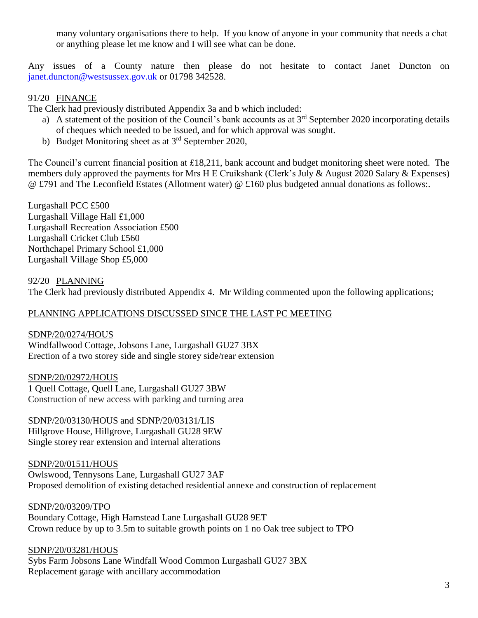many voluntary organisations there to help. If you know of anyone in your community that needs a chat or anything please let me know and I will see what can be done.

Any issues of a County nature then please do not hesitate to contact Janet Duncton on [janet.duncton@westsussex.gov.uk](mailto:janet.duncton@westsussex.gov.uk) or 01798 342528.

### 91/20 FINANCE

The Clerk had previously distributed Appendix 3a and b which included:

- a) A statement of the position of the Council's bank accounts as at  $3<sup>rd</sup>$  September 2020 incorporating details of cheques which needed to be issued, and for which approval was sought.
- b) Budget Monitoring sheet as at  $3<sup>rd</sup>$  September 2020,

The Council's current financial position at £18,211, bank account and budget monitoring sheet were noted. The members duly approved the payments for Mrs H E Cruikshank (Clerk's July & August 2020 Salary & Expenses) @ £791 and The Leconfield Estates (Allotment water) @ £160 plus budgeted annual donations as follows:.

Lurgashall PCC £500 Lurgashall Village Hall £1,000 Lurgashall Recreation Association £500 Lurgashall Cricket Club £560 Northchapel Primary School £1,000 Lurgashall Village Shop £5,000

### 92/20 PLANNING

The Clerk had previously distributed Appendix 4. Mr Wilding commented upon the following applications;

### PLANNING APPLICATIONS DISCUSSED SINCE THE LAST PC MEETING

SDNP/20/0274/HOUS Windfallwood Cottage, Jobsons Lane, Lurgashall GU27 3BX Erection of a two storey side and single storey side/rear extension

SDNP/20/02972/HOUS 1 Quell Cottage, Quell Lane, Lurgashall GU27 3BW Construction of new access with parking and turning area

SDNP/20/03130/HOUS and SDNP/20/03131/LIS Hillgrove House, Hillgrove, Lurgashall GU28 9EW Single storey rear extension and internal alterations

SDNP/20/01511/HOUS Owlswood, Tennysons Lane, Lurgashall GU27 3AF Proposed demolition of existing detached residential annexe and construction of replacement

SDNP/20/03209/TPO Boundary Cottage, High Hamstead Lane Lurgashall GU28 9ET Crown reduce by up to 3.5m to suitable growth points on 1 no Oak tree subject to TPO

#### SDNP/20/03281/HOUS

Sybs Farm Jobsons Lane Windfall Wood Common Lurgashall GU27 3BX Replacement garage with ancillary accommodation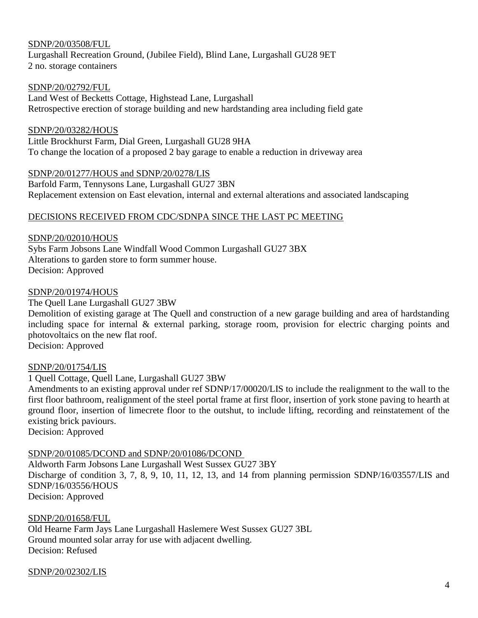#### SDNP/20/03508/FUL

Lurgashall Recreation Ground, (Jubilee Field), Blind Lane, Lurgashall GU28 9ET 2 no. storage containers

#### SDNP/20/02792/FUL

Land West of Becketts Cottage, Highstead Lane, Lurgashall Retrospective erection of storage building and new hardstanding area including field gate

#### SDNP/20/03282/HOUS

Little Brockhurst Farm, Dial Green, Lurgashall GU28 9HA To change the location of a proposed 2 bay garage to enable a reduction in driveway area

SDNP/20/01277/HOUS and SDNP/20/0278/LIS Barfold Farm, Tennysons Lane, Lurgashall GU27 3BN Replacement extension on East elevation, internal and external alterations and associated landscaping

#### DECISIONS RECEIVED FROM CDC/SDNPA SINCE THE LAST PC MEETING

#### SDNP/20/02010/HOUS

Sybs Farm Jobsons Lane Windfall Wood Common Lurgashall GU27 3BX Alterations to garden store to form summer house. Decision: Approved

#### SDNP/20/01974/HOUS

The Quell Lane Lurgashall GU27 3BW

Demolition of existing garage at The Quell and construction of a new garage building and area of hardstanding including space for internal & external parking, storage room, provision for electric charging points and photovoltaics on the new flat roof.

Decision: Approved

#### SDNP/20/01754/LIS

1 Quell Cottage, Quell Lane, Lurgashall GU27 3BW

Amendments to an existing approval under ref SDNP/17/00020/LIS to include the realignment to the wall to the first floor bathroom, realignment of the steel portal frame at first floor, insertion of york stone paving to hearth at ground floor, insertion of limecrete floor to the outshut, to include lifting, recording and reinstatement of the existing brick paviours.

Decision: Approved

#### SDNP/20/01085/DCOND and SDNP/20/01086/DCOND

Aldworth Farm Jobsons Lane Lurgashall West Sussex GU27 3BY Discharge of condition 3, 7, 8, 9, 10, 11, 12, 13, and 14 from planning permission SDNP/16/03557/LIS and SDNP/16/03556/HOUS Decision: Approved

#### SDNP/20/01658/FUL

Old Hearne Farm Jays Lane Lurgashall Haslemere West Sussex GU27 3BL Ground mounted solar array for use with adjacent dwelling. Decision: Refused

#### SDNP/20/02302/LIS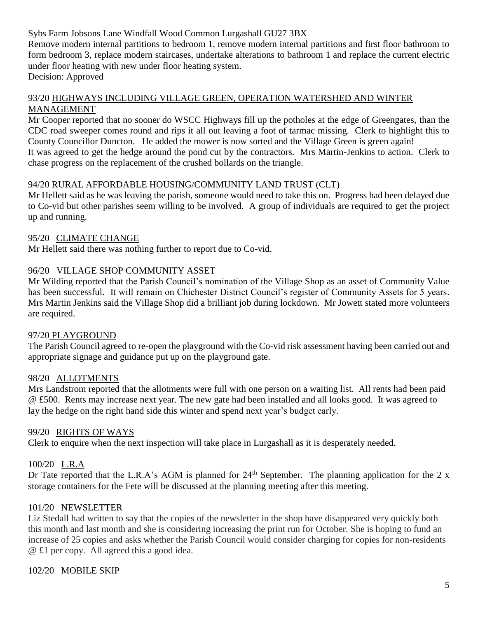### Sybs Farm Jobsons Lane Windfall Wood Common Lurgashall GU27 3BX

Remove modern internal partitions to bedroom 1, remove modern internal partitions and first floor bathroom to form bedroom 3, replace modern staircases, undertake alterations to bathroom 1 and replace the current electric under floor heating with new under floor heating system. Decision: Approved

#### 93/20 HIGHWAYS INCLUDING VILLAGE GREEN, OPERATION WATERSHED AND WINTER MANAGEMENT

Mr Cooper reported that no sooner do WSCC Highways fill up the potholes at the edge of Greengates, than the CDC road sweeper comes round and rips it all out leaving a foot of tarmac missing. Clerk to highlight this to County Councillor Duncton. He added the mower is now sorted and the Village Green is green again! It was agreed to get the hedge around the pond cut by the contractors. Mrs Martin-Jenkins to action. Clerk to chase progress on the replacement of the crushed bollards on the triangle.

#### 94/20 RURAL AFFORDABLE HOUSING/COMMUNITY LAND TRUST (CLT)

Mr Hellett said as he was leaving the parish, someone would need to take this on. Progress had been delayed due to Co-vid but other parishes seem willing to be involved. A group of individuals are required to get the project up and running.

#### 95/20 CLIMATE CHANGE

Mr Hellett said there was nothing further to report due to Co-vid.

### 96/20 VILLAGE SHOP COMMUNITY ASSET

Mr Wilding reported that the Parish Council's nomination of the Village Shop as an asset of Community Value has been successful. It will remain on Chichester District Council's register of Community Assets for 5 years. Mrs Martin Jenkins said the Village Shop did a brilliant job during lockdown. Mr Jowett stated more volunteers are required.

### 97/20 PLAYGROUND

The Parish Council agreed to re-open the playground with the Co-vid risk assessment having been carried out and appropriate signage and guidance put up on the playground gate.

### 98/20 ALLOTMENTS

Mrs Landstrom reported that the allotments were full with one person on a waiting list. All rents had been paid @ £500. Rents may increase next year. The new gate had been installed and all looks good. It was agreed to lay the hedge on the right hand side this winter and spend next year's budget early.

#### 99/20 RIGHTS OF WAYS

Clerk to enquire when the next inspection will take place in Lurgashall as it is desperately needed.

### 100/20 L.R.A

Dr Tate reported that the L.R.A's AGM is planned for  $24<sup>th</sup>$  September. The planning application for the 2 x storage containers for the Fete will be discussed at the planning meeting after this meeting.

### 101/20 NEWSLETTER

Liz Stedall had written to say that the copies of the newsletter in the shop have disappeared very quickly both this month and last month and she is considering increasing the print run for October. She is hoping to fund an increase of 25 copies and asks whether the Parish Council would consider charging for copies for non-residents @ £1 per copy. All agreed this a good idea.

### 102/20 MOBILE SKIP